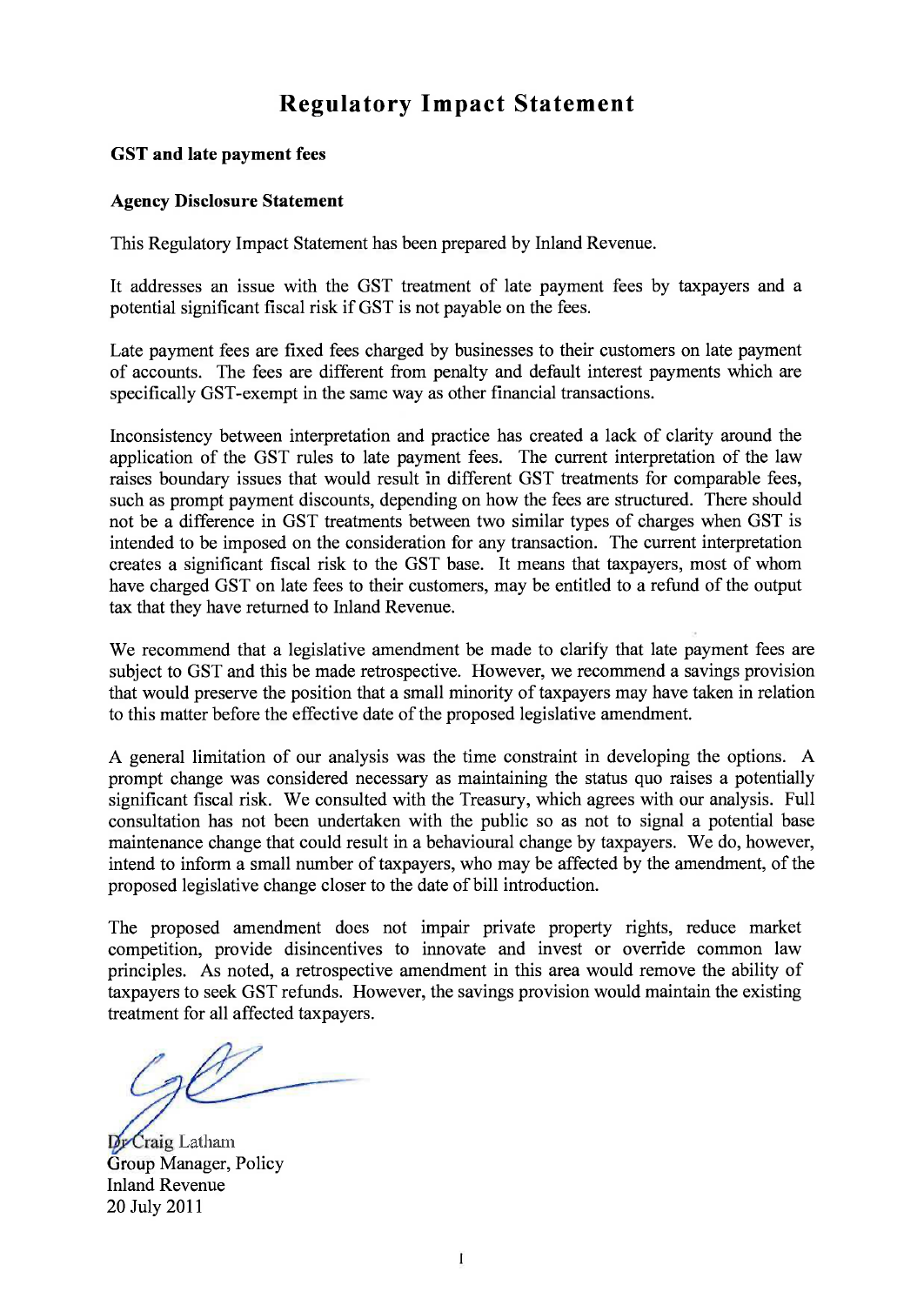# **Regulatory Impact Statement**

#### **GST and late payment fees**

#### **Agency Disclosure Statement**

This Regulatory Impact Statement has been prepared by Inland Revenue.

It addresses an issue with the GST treatment of late payment fees by taxpayers and a potential significant fiscal risk if GST is not payable on the fees.

Late payment fees are fixed fees charged by businesses to their customers on late payment of accounts. The fees are different from penalty and default interest payments which are specifically GST-exempt in the same way as other financial transactions.

Inconsistency between interpretation and practice has created a lack of clarity around the application of the GST rules to late payment fees. The current interpretation of the law raises boundary issues that would result in different GST treatments for comparable fees, such as prompt payment discounts, depending on how the fees are structured. There should not be a difference in GST treatments between two similar types of charges when GST is intended to be imposed on the consideration for any transaction. The current interpretation creates a significant fiscal risk to the GST base. It means that taxpayers, most of whom have charged GST on late fees to their customers, may be entitled to a refund of the output tax that they have returned to Inland Revenue.

We recommend that a legislative amendment be made to clarify that late payment fees are subject to GST and this be made retrospective. However, we recommend a savings provision that would preserve the position that a small minority of taxpayers may have taken in relation to this matter before the effective date of the proposed legislative amendment.

A general limitation of our analysis was the time constraint in developing the options. A prompt change was considered necessary as maintaining the status quo raises a potentially significant fiscal risk. We consulted with the Treasury, which agrees with our analysis. Full consultation has not been undertaken with the public so as not to signal a potential base maintenance change that could result in a behavioural change by taxpayers. We do, however, intend to inform a small number of taxpayers, who may be affected by the amendment, of the proposed legislative change closer to the date of bill introduction.

The proposed amendment does not impair private property rights, reduce market competition, provide disincentives to innovate and invest or override common law principles. As noted, a retrospective amendment in this area would remove the ability of taxpayers to seek GST refunds. However, the savings provision would maintain the existing treatment for all affected taxpayers.

Dr Craig Latham Group Manager, Policy Inland Revenue 20 July 2011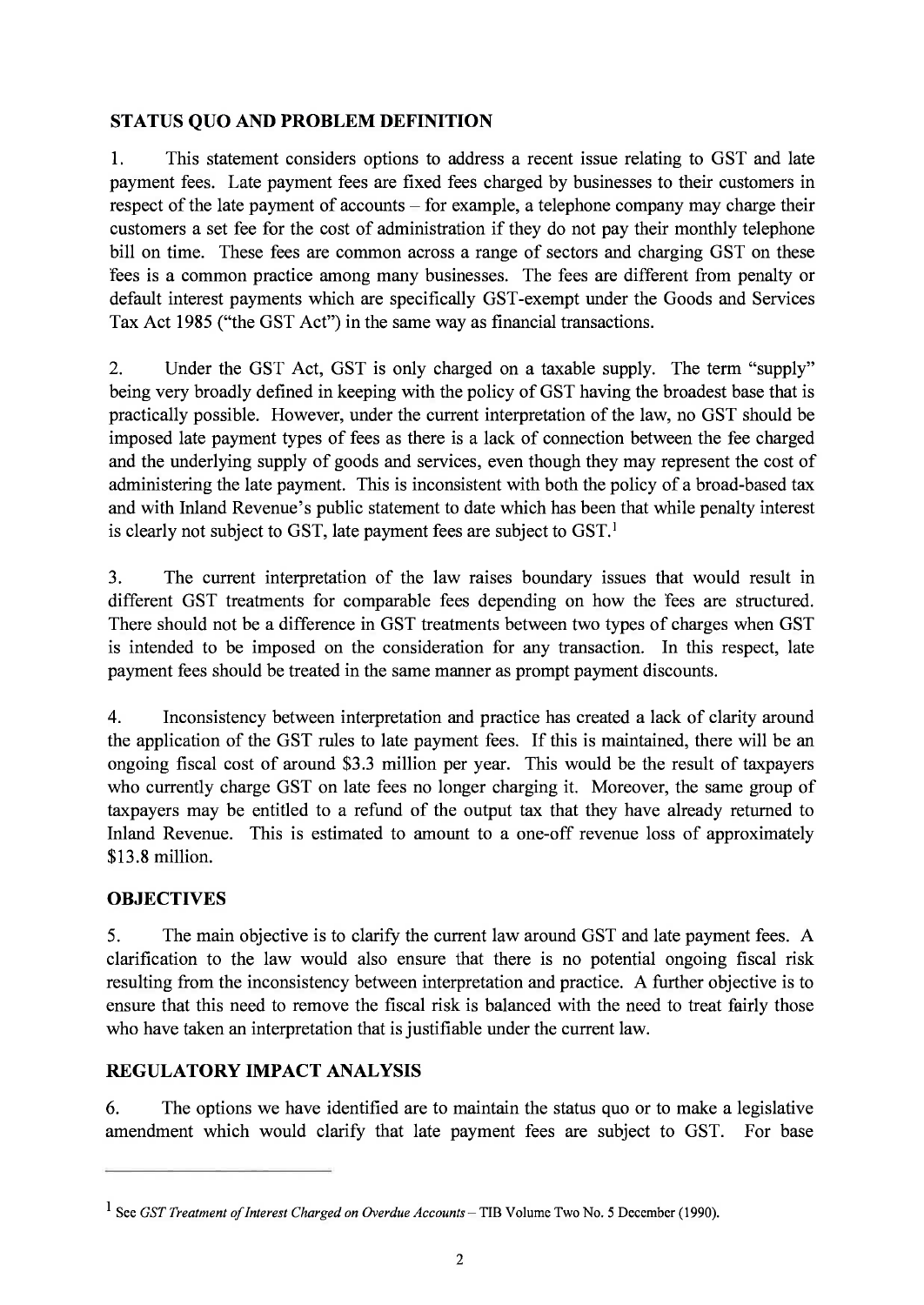## **STATUS QUO AND PROBLEM DEFINITION**

1. This statement considers options to address a recent issue relating to GST and late payment fees. Late payment fees are fixed fees charged by businesses to their customers in respect of the late payment of accounts – for example, a telephone company may charge their customers a set fee for the cost of administration if they do not pay their monthly telephone bill on time. These fees are common across a range of sectors and charging GST on these fees is a common practice among many businesses. The fees are different from penalty or default interest payments which are specifically GST-exempt under the Goods and Services Tax Act 1985 ("the GST Act") in the same way as financial transactions.

2. Under the GST Act, GST is only charged on a taxable supply. The term "supply" being very broadly defined in keeping with the policy of GST having the broadest base that is practically possible. However, under the current interpretation of the law, no GST should be imposed late payment types of fees as there is a lack of connection between the fee charged and the underlying supply of goods and services, even though they may represent the cost of administering the late payment. This is inconsistent with both the policy of a broad-based tax and with Inland Revenue's public statement to date which has been that while penalty interest is clearly not subject to GST, late payment fees are subject to GST.<sup>1</sup>

3. The current interpretation of the law raises boundary issues that would result in different GST treatments for comparable fees depending on how the fees are structured. There should not be a difference in GST treatments between two types of charges when GST is intended to be imposed on the consideration for any transaction. In this respect, late payment fees should be treated in the same manner as prompt payment discounts.

4. Inconsistency between interpretation and practice has created a lack of clarity around the application of the GST rules to late payment fees. If this is maintained, there will be an ongoing fiscal cost of around \$3.3 million per year. This would be the result of taxpayers who currently charge GST on late fees no longer charging it. Moreover, the same group of taxpayers may be entitled to a refund of the output tax that they have already returned to Inland Revenue. This is estimated to amount to a one-off revenue loss of approximately \$13.8 million.

### **OBJECTIVES**

5. The main objective is to clarify the current law around GST and late payment fees. A clarification to the law would also ensure that there is no potential ongoing fiscal risk resulting from the inconsistency between interpretation and practice. A further objective is to ensure that this need to remove the fiscal risk is balanced with the need to treat fairly those who have taken an interpretation that is justifiable under the current law.

### **REGULATORY IMPACT ANALYSIS**

6. The options we have identified are to maintain the status quo or to make a legislative amendment which would clarify that late payment fees are subject to GST. For base

**<sup>1</sup> See** *GST Treatment of Interest Charged on Overdue Accounts —* **TIB Volume Two No. 5 December (1990).**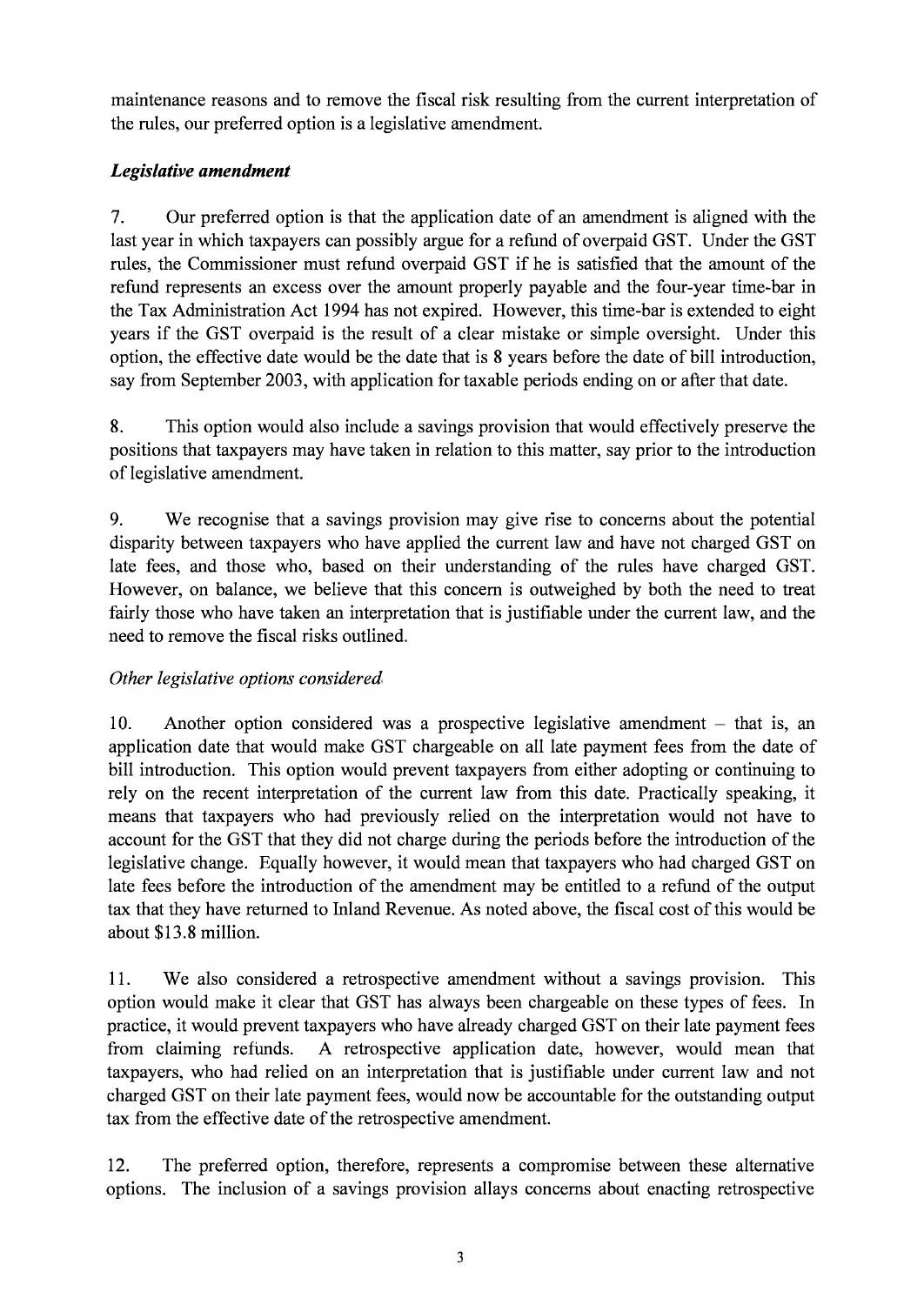maintenance reasons and to remove the fiscal risk resulting from the current interpretation of the rules, our preferred option is a legislative amendment.

# *Legislative amendment*

7. Our preferred option is that the application date of an amendment is aligned with the last year in which taxpayers can possibly argue for a refund of overpaid GST. Under the GST rules, the Commissioner must refund overpaid GST if he is satisfied that the amount of the refund represents an excess over the amount properly payable and the four-year time-bar in the Tax Administration Act 1994 has not expired. However, this time-bar is extended to eight years if the GST overpaid is the result of a clear mistake or simple oversight. Under this option, the effective date would be the date that is 8 years before the date of bill introduction, say from September 2003, with application for taxable periods ending on or after that date.

8. This option would also include a savings provision that would effectively preserve the positions that taxpayers may have taken in relation to this matter, say prior to the introduction of legislative amendment.

9. We recognise that a savings provision may give rise to concerns about the potential disparity between taxpayers who have applied the current law and have not charged GST on late fees, and those who, based on their understanding of the rules have charged GST. However, on balance, we believe that this concern is outweighed by both the need to treat fairly those who have taken an interpretation that is justifiable under the current law, and the need to remove the fiscal risks outlined.

# *Other legislative options considered*

10. Another option considered was a prospective legislative amendment – that is, an application date that would make GST chargeable on all late payment fees from the date of bill introduction. This option would prevent taxpayers from either adopting or continuing to rely on the recent interpretation of the current law from this date. Practically speaking, it means that taxpayers who had previously relied on the interpretation would not have to account for the GST that they did not charge during the periods before the introduction of the legislative change. Equally however, it would mean that taxpayers who had charged GST on late fees before the introduction of the amendment may be entitled to a refund of the output tax that they have returned to Inland Revenue. As noted above, the fiscal cost of this would be about \$13.8 million.

11. We also considered a retrospective amendment without a savings provision. This option would make it clear that GST has always been chargeable on these types of fees. In practice, it would prevent taxpayers who have already charged GST on their late payment fees from claiming refunds. A retrospective application date, however, would mean that taxpayers, who had relied on an interpretation that is justifiable under current law and not charged GST on their late payment fees, would now be accountable for the outstanding output tax from the effective date of the retrospective amendment.

12. The preferred option, therefore, represents a compromise between these alternative options. The inclusion of a savings provision allays concerns about enacting retrospective